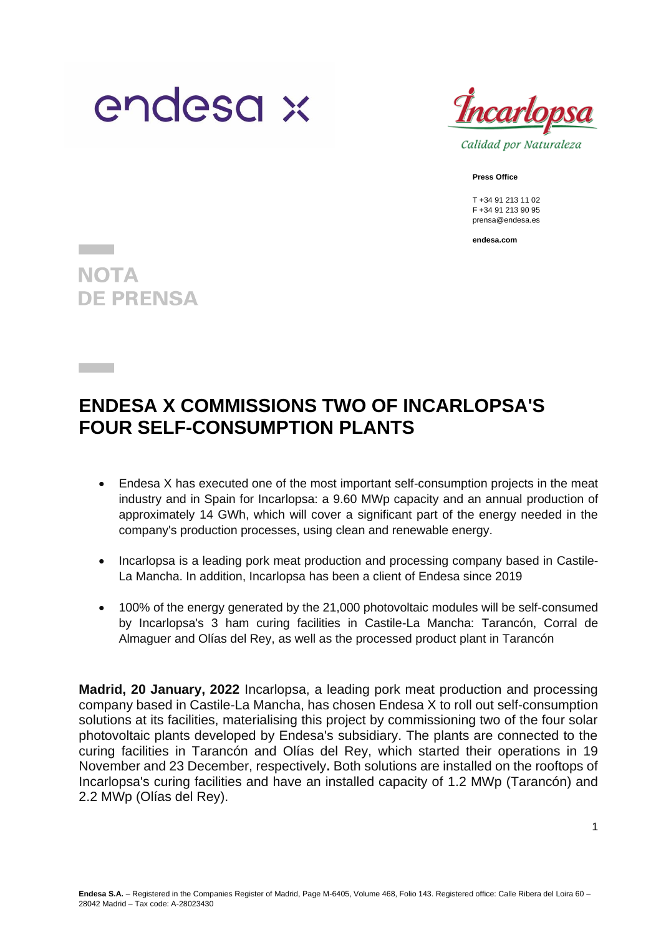



Calidad por Naturaleza

**Press Office**

T +34 91 213 11 02 F +34 91 213 90 95 prensa@endesa.es

**endesa.com**

**NOTA DE PRENSA** 

# **ENDESA X COMMISSIONS TWO OF INCARLOPSA'S FOUR SELF-CONSUMPTION PLANTS**

- Endesa X has executed one of the most important self-consumption projects in the meat industry and in Spain for Incarlopsa: a 9.60 MWp capacity and an annual production of approximately 14 GWh, which will cover a significant part of the energy needed in the company's production processes, using clean and renewable energy.
- Incarlopsa is a leading pork meat production and processing company based in Castile-La Mancha. In addition, Incarlopsa has been a client of Endesa since 2019
- 100% of the energy generated by the 21,000 photovoltaic modules will be self-consumed by Incarlopsa's 3 ham curing facilities in Castile-La Mancha: Tarancón, Corral de Almaguer and Olías del Rey, as well as the processed product plant in Tarancón

**Madrid, 20 January, 2022** Incarlopsa, a leading pork meat production and processing company based in Castile-La Mancha, has chosen Endesa X to roll out self-consumption solutions at its facilities, materialising this project by commissioning two of the four solar photovoltaic plants developed by Endesa's subsidiary. The plants are connected to the curing facilities in Tarancón and Olías del Rey, which started their operations in 19 November and 23 December, respectively**.** Both solutions are installed on the rooftops of Incarlopsa's curing facilities and have an installed capacity of 1.2 MWp (Tarancón) and 2.2 MWp (Olías del Rey).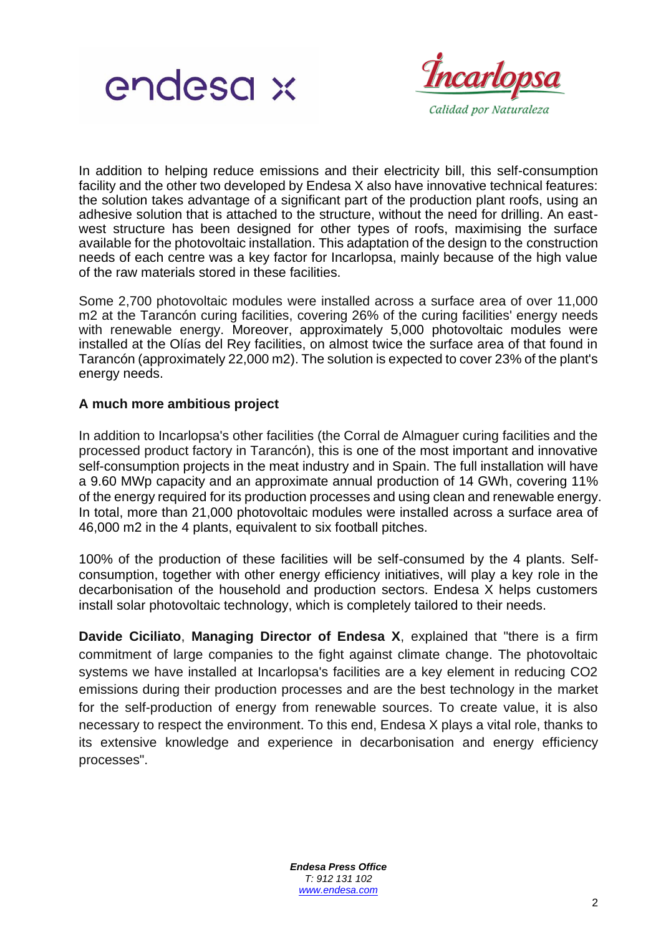



In addition to helping reduce emissions and their electricity bill, this self-consumption facility and the other two developed by Endesa X also have innovative technical features: the solution takes advantage of a significant part of the production plant roofs, using an adhesive solution that is attached to the structure, without the need for drilling. An eastwest structure has been designed for other types of roofs, maximising the surface available for the photovoltaic installation. This adaptation of the design to the construction needs of each centre was a key factor for Incarlopsa, mainly because of the high value of the raw materials stored in these facilities.

Some 2,700 photovoltaic modules were installed across a surface area of over 11,000 m2 at the Tarancón curing facilities, covering 26% of the curing facilities' energy needs with renewable energy. Moreover, approximately 5,000 photovoltaic modules were installed at the Olías del Rey facilities, on almost twice the surface area of that found in Tarancón (approximately 22,000 m2). The solution is expected to cover 23% of the plant's energy needs.

## **A much more ambitious project**

In addition to Incarlopsa's other facilities (the Corral de Almaguer curing facilities and the processed product factory in Tarancón), this is one of the most important and innovative self-consumption projects in the meat industry and in Spain. The full installation will have a 9.60 MWp capacity and an approximate annual production of 14 GWh, covering 11% of the energy required for its production processes and using clean and renewable energy. In total, more than 21,000 photovoltaic modules were installed across a surface area of 46,000 m2 in the 4 plants, equivalent to six football pitches.

100% of the production of these facilities will be self-consumed by the 4 plants. Selfconsumption, together with other energy efficiency initiatives, will play a key role in the decarbonisation of the household and production sectors. Endesa X helps customers install solar photovoltaic technology, which is completely tailored to their needs.

**Davide Ciciliato**, **Managing Director of Endesa X**, explained that "there is a firm commitment of large companies to the fight against climate change. The photovoltaic systems we have installed at Incarlopsa's facilities are a key element in reducing CO2 emissions during their production processes and are the best technology in the market for the self-production of energy from renewable sources. To create value, it is also necessary to respect the environment. To this end, Endesa X plays a vital role, thanks to its extensive knowledge and experience in decarbonisation and energy efficiency processes".

> *Endesa Press Office T: 912 131 102 [www.endesa.com](http://www.endesa.com/)*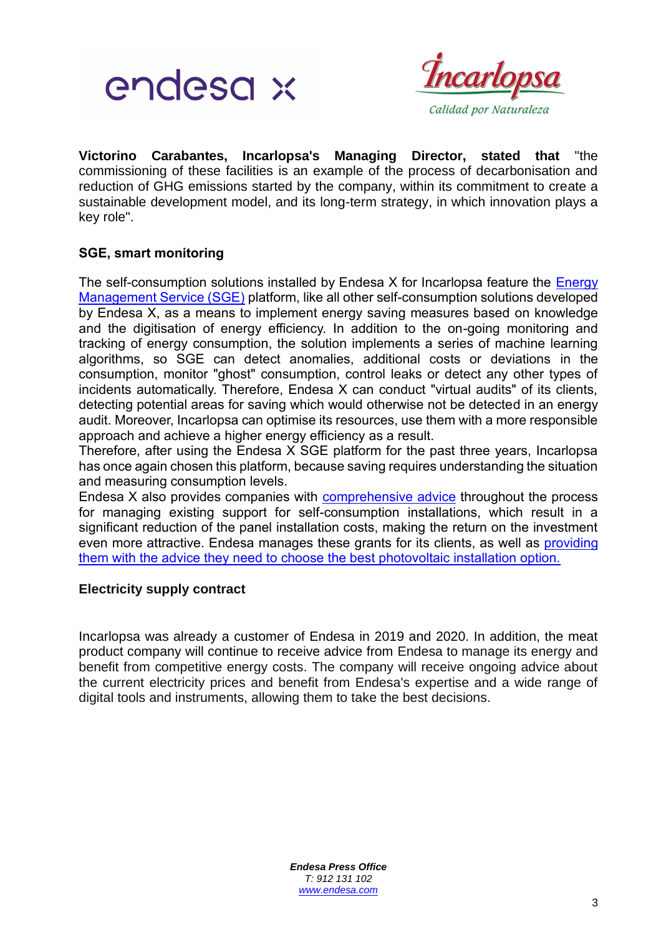



**Victorino Carabantes, Incarlopsa's Managing Director, stated that** "the commissioning of these facilities is an example of the process of decarbonisation and reduction of GHG emissions started by the company, within its commitment to create a sustainable development model, and its long-term strategy, in which innovation plays a key role".

## **SGE, smart monitoring**

The self-consumption solutions installed by Endesa X for Incarlopsa feature the Energy [Management Service \(SGE\)](https://www.endesax.com/es/es/empresas/eficiencia-energetica/gestion-energetica) platform, like all other self-consumption solutions developed by Endesa X, as a means to implement energy saving measures based on knowledge and the digitisation of energy efficiency. In addition to the on-going monitoring and tracking of energy consumption, the solution implements a series of machine learning algorithms, so SGE can detect anomalies, additional costs or deviations in the consumption, monitor "ghost" consumption, control leaks or detect any other types of incidents automatically. Therefore, Endesa X can conduct "virtual audits" of its clients, detecting potential areas for saving which would otherwise not be detected in an energy audit. Moreover, Incarlopsa can optimise its resources, use them with a more responsible approach and achieve a higher energy efficiency as a result.

Therefore, after using the Endesa X SGE platform for the past three years, Incarlopsa has once again chosen this platform, because saving requires understanding the situation and measuring consumption levels.

Endesa X also provides companies with [comprehensive advice](https://www.endesax.com/es/es/empresas/eficiencia-energetica) throughout the process for managing existing support for self-consumption installations, which result in a significant reduction of the panel installation costs, making the return on the investment even more attractive. Endesa manages these grants for its clients, as well as [providing](https://www.endesax.com/es/es/simulador-solar-fotovoltaico)  [them with the advice they need to choose the best photovoltaic installation option.](https://www.endesax.com/es/es/simulador-solar-fotovoltaico)

## **Electricity supply contract**

Incarlopsa was already a customer of Endesa in 2019 and 2020. In addition, the meat product company will continue to receive advice from Endesa to manage its energy and benefit from competitive energy costs. The company will receive ongoing advice about the current electricity prices and benefit from Endesa's expertise and a wide range of digital tools and instruments, allowing them to take the best decisions.

> *Endesa Press Office T: 912 131 102 [www.endesa.com](http://www.endesa.com/)*